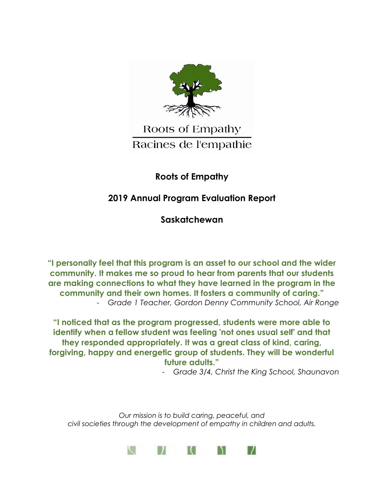

# Roots of Empathy Racines de l'empathie

## **Roots of Empathy**

# **2019 Annual Program Evaluation Report**

**Saskatchewan**

**"I personally feel that this program is an asset to our school and the wider community. It makes me so proud to hear from parents that our students are making connections to what they have learned in the program in the community and their own homes. It fosters a community of caring."** - *Grade 1 Teacher, Gordon Denny Community School, Air Ronge*

**"I noticed that as the program progressed, students were more able to identify when a fellow student was feeling 'not ones usual self' and that they responded appropriately. It was a great class of kind, caring, forgiving, happy and energetic group of students. They will be wonderful future adults."**

- *Grade 3/4, Christ the King School, Shaunavon*

*Our mission is to build caring, peaceful, and civil societies through the development of empathy in children and adults.*

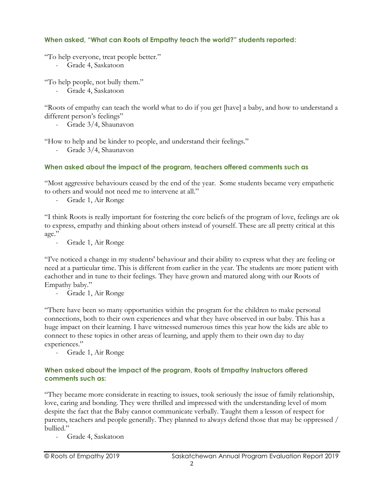### **When asked, "What can Roots of Empathy teach the world?" students reported:**

"To help everyone, treat people better."

- Grade 4, Saskatoon

"To help people, not bully them."

- Grade 4, Saskatoon

"Roots of empathy can teach the world what to do if you get [have] a baby, and how to understand a different person's feelings"

- Grade 3/4, Shaunavon

"How to help and be kinder to people, and understand their feelings."

- Grade 3/4, Shaunavon

### **When asked about the impact of the program, teachers offered comments such as**

"Most aggressive behaviours ceased by the end of the year. Some students became very empathetic to others and would not need me to intervene at all."

- Grade 1, Air Ronge

"I think Roots is really important for fostering the core beliefs of the program of love, feelings are ok to express, empathy and thinking about others instead of yourself. These are all pretty critical at this age."

- Grade 1, Air Ronge

"I've noticed a change in my students' behaviour and their ability to express what they are feeling or need at a particular time. This is different from earlier in the year. The students are more patient with eachother and in tune to their feelings. They have grown and matured along with our Roots of Empathy baby."

- Grade 1, Air Ronge

"There have been so many opportunities within the program for the children to make personal connections, both to their own experiences and what they have observed in our baby. This has a huge impact on their learning. I have witnessed numerous times this year how the kids are able to connect to these topics in other areas of learning, and apply them to their own day to day experiences."

- Grade 1, Air Ronge

#### **When asked about the impact of the program, Roots of Empathy Instructors offered comments such as:**

"They became more considerate in reacting to issues, took seriously the issue of family relationship, love, caring and bonding. They were thrilled and impressed with the understanding level of mom despite the fact that the Baby cannot communicate verbally. Taught them a lesson of respect for parents, teachers and people generally. They planned to always defend those that may be oppressed / bullied."

- Grade 4, Saskatoon